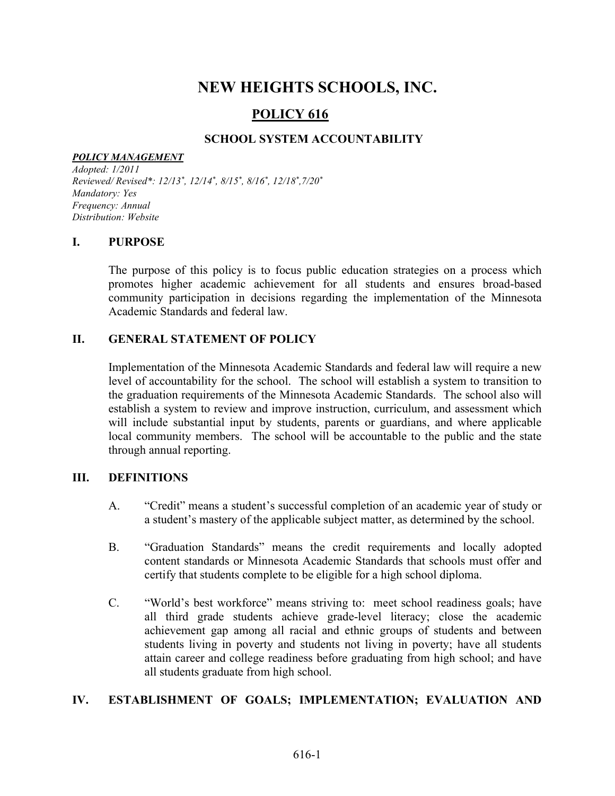# NEW HEIGHTS SCHOOLS, INC.

## POLICY 616

## SCHOOL SYSTEM ACCOUNTABILITY

#### POLICY MANAGEMENT

Adopted: 1/2011 Reviewed/Revised\*: 12/13<sup>\*</sup>, 12/14<sup>\*</sup>, 8/15<sup>\*</sup>, 8/16<sup>\*</sup>, 12/18<sup>\*</sup>,7/20<sup>\*</sup> Mandatory: Yes Frequency: Annual Distribution: Website

#### I. PURPOSE

The purpose of this policy is to focus public education strategies on a process which promotes higher academic achievement for all students and ensures broad-based community participation in decisions regarding the implementation of the Minnesota Academic Standards and federal law.

#### II. GENERAL STATEMENT OF POLICY

Implementation of the Minnesota Academic Standards and federal law will require a new level of accountability for the school. The school will establish a system to transition to the graduation requirements of the Minnesota Academic Standards. The school also will establish a system to review and improve instruction, curriculum, and assessment which will include substantial input by students, parents or guardians, and where applicable local community members. The school will be accountable to the public and the state through annual reporting.

#### III. DEFINITIONS

- A. "Credit" means a student's successful completion of an academic year of study or a student's mastery of the applicable subject matter, as determined by the school.
- B. "Graduation Standards" means the credit requirements and locally adopted content standards or Minnesota Academic Standards that schools must offer and certify that students complete to be eligible for a high school diploma.
- C. "World's best workforce" means striving to: meet school readiness goals; have all third grade students achieve grade-level literacy; close the academic achievement gap among all racial and ethnic groups of students and between students living in poverty and students not living in poverty; have all students attain career and college readiness before graduating from high school; and have all students graduate from high school.

#### IV. ESTABLISHMENT OF GOALS; IMPLEMENTATION; EVALUATION AND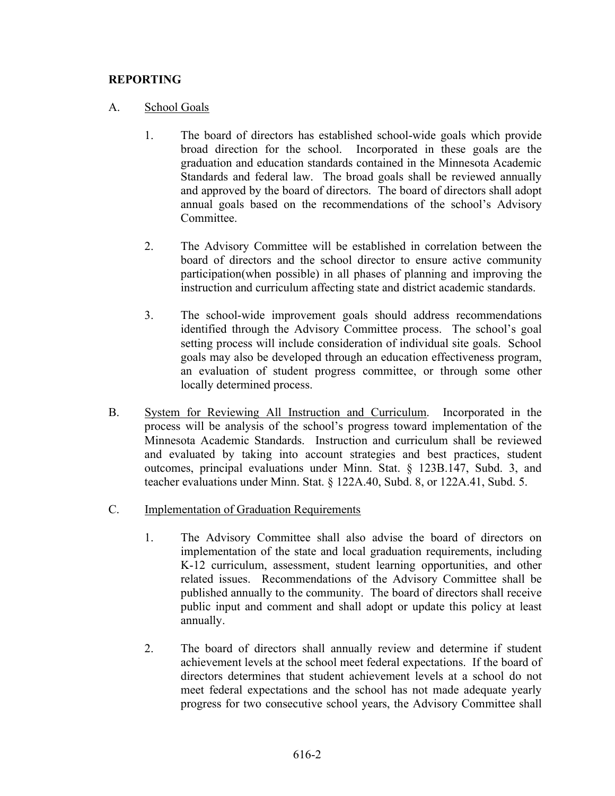### REPORTING

#### A. School Goals

- 1. The board of directors has established school-wide goals which provide broad direction for the school. Incorporated in these goals are the graduation and education standards contained in the Minnesota Academic Standards and federal law. The broad goals shall be reviewed annually and approved by the board of directors. The board of directors shall adopt annual goals based on the recommendations of the school's Advisory Committee.
- 2. The Advisory Committee will be established in correlation between the board of directors and the school director to ensure active community participation(when possible) in all phases of planning and improving the instruction and curriculum affecting state and district academic standards.
- 3. The school-wide improvement goals should address recommendations identified through the Advisory Committee process. The school's goal setting process will include consideration of individual site goals. School goals may also be developed through an education effectiveness program, an evaluation of student progress committee, or through some other locally determined process.
- B. System for Reviewing All Instruction and Curriculum. Incorporated in the process will be analysis of the school's progress toward implementation of the Minnesota Academic Standards. Instruction and curriculum shall be reviewed and evaluated by taking into account strategies and best practices, student outcomes, principal evaluations under Minn. Stat. § 123B.147, Subd. 3, and teacher evaluations under Minn. Stat. § 122A.40, Subd. 8, or 122A.41, Subd. 5.
- C. Implementation of Graduation Requirements
	- 1. The Advisory Committee shall also advise the board of directors on implementation of the state and local graduation requirements, including K-12 curriculum, assessment, student learning opportunities, and other related issues. Recommendations of the Advisory Committee shall be published annually to the community. The board of directors shall receive public input and comment and shall adopt or update this policy at least annually.
	- 2. The board of directors shall annually review and determine if student achievement levels at the school meet federal expectations. If the board of directors determines that student achievement levels at a school do not meet federal expectations and the school has not made adequate yearly progress for two consecutive school years, the Advisory Committee shall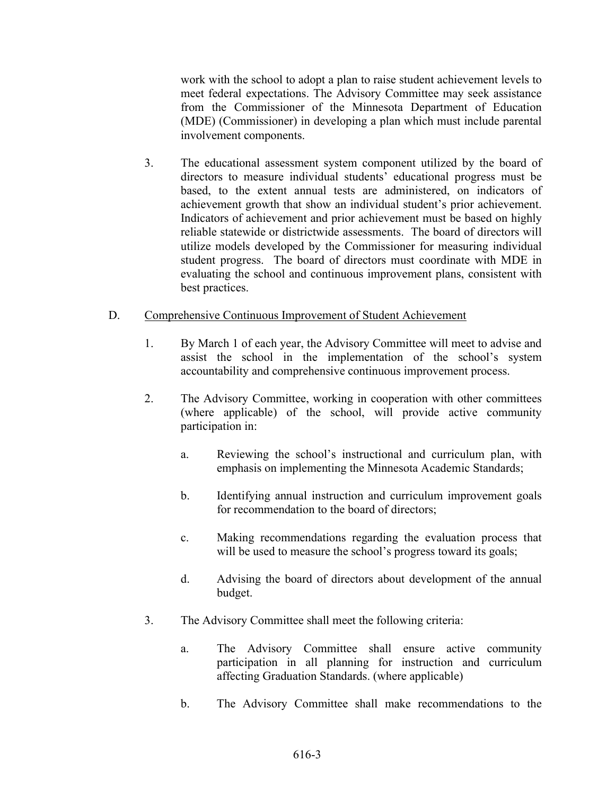work with the school to adopt a plan to raise student achievement levels to meet federal expectations. The Advisory Committee may seek assistance from the Commissioner of the Minnesota Department of Education (MDE) (Commissioner) in developing a plan which must include parental involvement components.

3. The educational assessment system component utilized by the board of directors to measure individual students' educational progress must be based, to the extent annual tests are administered, on indicators of achievement growth that show an individual student's prior achievement. Indicators of achievement and prior achievement must be based on highly reliable statewide or districtwide assessments. The board of directors will utilize models developed by the Commissioner for measuring individual student progress. The board of directors must coordinate with MDE in evaluating the school and continuous improvement plans, consistent with best practices.

#### D. Comprehensive Continuous Improvement of Student Achievement

- 1. By March 1 of each year, the Advisory Committee will meet to advise and assist the school in the implementation of the school's system accountability and comprehensive continuous improvement process.
- 2. The Advisory Committee, working in cooperation with other committees (where applicable) of the school, will provide active community participation in:
	- a. Reviewing the school's instructional and curriculum plan, with emphasis on implementing the Minnesota Academic Standards;
	- b. Identifying annual instruction and curriculum improvement goals for recommendation to the board of directors;
	- c. Making recommendations regarding the evaluation process that will be used to measure the school's progress toward its goals;
	- d. Advising the board of directors about development of the annual budget.
- 3. The Advisory Committee shall meet the following criteria:
	- a. The Advisory Committee shall ensure active community participation in all planning for instruction and curriculum affecting Graduation Standards. (where applicable)
	- b. The Advisory Committee shall make recommendations to the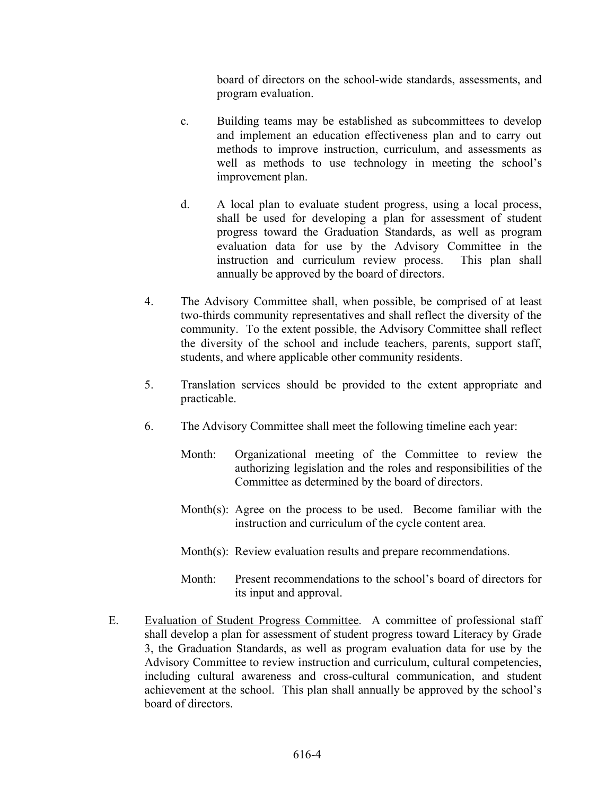board of directors on the school-wide standards, assessments, and program evaluation.

- c. Building teams may be established as subcommittees to develop and implement an education effectiveness plan and to carry out methods to improve instruction, curriculum, and assessments as well as methods to use technology in meeting the school's improvement plan.
- d. A local plan to evaluate student progress, using a local process, shall be used for developing a plan for assessment of student progress toward the Graduation Standards, as well as program evaluation data for use by the Advisory Committee in the instruction and curriculum review process. This plan shall annually be approved by the board of directors.
- 4. The Advisory Committee shall, when possible, be comprised of at least two-thirds community representatives and shall reflect the diversity of the community. To the extent possible, the Advisory Committee shall reflect the diversity of the school and include teachers, parents, support staff, students, and where applicable other community residents.
- 5. Translation services should be provided to the extent appropriate and practicable.
- 6. The Advisory Committee shall meet the following timeline each year:
	- Month: Organizational meeting of the Committee to review the authorizing legislation and the roles and responsibilities of the Committee as determined by the board of directors.
	- Month(s): Agree on the process to be used. Become familiar with the instruction and curriculum of the cycle content area.
	- Month(s): Review evaluation results and prepare recommendations.
	- Month: Present recommendations to the school's board of directors for its input and approval.
- E. Evaluation of Student Progress Committee. A committee of professional staff shall develop a plan for assessment of student progress toward Literacy by Grade 3, the Graduation Standards, as well as program evaluation data for use by the Advisory Committee to review instruction and curriculum, cultural competencies, including cultural awareness and cross-cultural communication, and student achievement at the school. This plan shall annually be approved by the school's board of directors.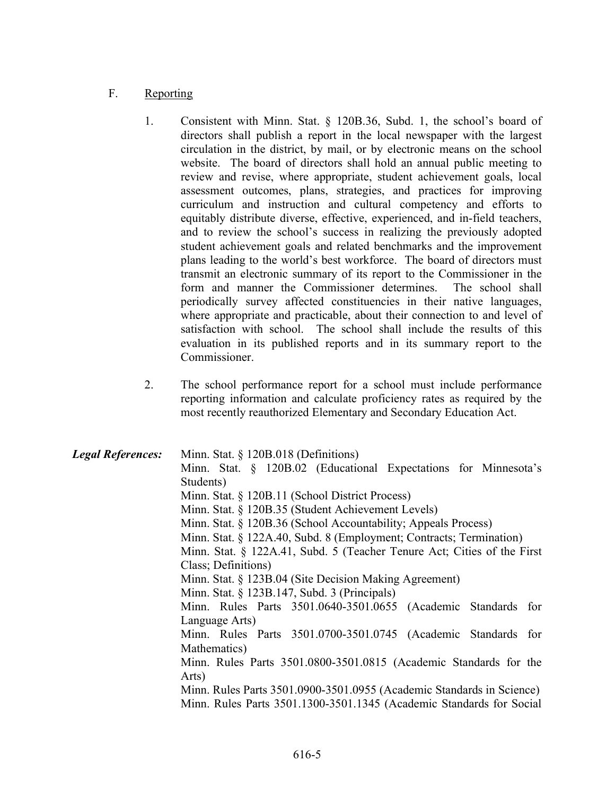## F. Reporting

- 1. Consistent with Minn. Stat. § 120B.36, Subd. 1, the school's board of directors shall publish a report in the local newspaper with the largest circulation in the district, by mail, or by electronic means on the school website. The board of directors shall hold an annual public meeting to review and revise, where appropriate, student achievement goals, local assessment outcomes, plans, strategies, and practices for improving curriculum and instruction and cultural competency and efforts to equitably distribute diverse, effective, experienced, and in-field teachers, and to review the school's success in realizing the previously adopted student achievement goals and related benchmarks and the improvement plans leading to the world's best workforce. The board of directors must transmit an electronic summary of its report to the Commissioner in the form and manner the Commissioner determines. The school shall periodically survey affected constituencies in their native languages, where appropriate and practicable, about their connection to and level of satisfaction with school. The school shall include the results of this evaluation in its published reports and in its summary report to the Commissioner.
- 2. The school performance report for a school must include performance reporting information and calculate proficiency rates as required by the most recently reauthorized Elementary and Secondary Education Act.

Legal References: Minn. Stat. § 120B.018 (Definitions) Minn. Stat. § 120B.02 (Educational Expectations for Minnesota's Students) Minn. Stat. § 120B.11 (School District Process) Minn. Stat. § 120B.35 (Student Achievement Levels) Minn. Stat. § 120B.36 (School Accountability; Appeals Process) Minn. Stat. § 122A.40, Subd. 8 (Employment; Contracts; Termination) Minn. Stat. § 122A.41, Subd. 5 (Teacher Tenure Act; Cities of the First Class; Definitions) Minn. Stat. § 123B.04 (Site Decision Making Agreement) Minn. Stat. § 123B.147, Subd. 3 (Principals) Minn. Rules Parts 3501.0640-3501.0655 (Academic Standards for Language Arts) Minn. Rules Parts 3501.0700-3501.0745 (Academic Standards for Mathematics) Minn. Rules Parts 3501.0800-3501.0815 (Academic Standards for the Arts) Minn. Rules Parts 3501.0900-3501.0955 (Academic Standards in Science) Minn. Rules Parts 3501.1300-3501.1345 (Academic Standards for Social